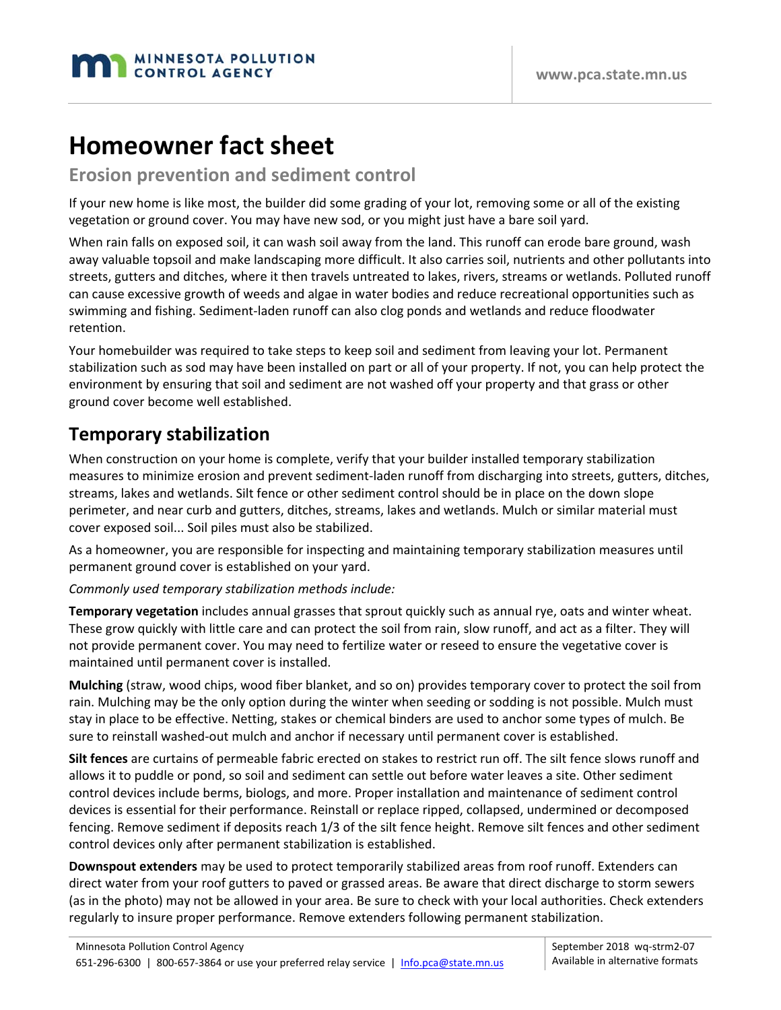

# **Homeowner fact sheet**

**Erosion prevention and sediment control**

If your new home is like most, the builder did some grading of your lot, removing some or all of the existing vegetation or ground cover. You may have new sod, or you might just have a bare soil yard.

When rain falls on exposed soil, it can wash soil away from the land. This runoff can erode bare ground, wash away valuable topsoil and make landscaping more difficult. It also carries soil, nutrients and other pollutants into streets, gutters and ditches, where it then travels untreated to lakes, rivers, streams or wetlands. Polluted runoff can cause excessive growth of weeds and algae in water bodies and reduce recreational opportunities such as swimming and fishing. Sediment‐laden runoff can also clog ponds and wetlands and reduce floodwater retention.

Your homebuilder was required to take steps to keep soil and sediment from leaving your lot. Permanent stabilization such as sod may have been installed on part or all of your property. If not, you can help protect the environment by ensuring that soil and sediment are not washed off your property and that grass or other ground cover become well established.

### **Temporary stabilization**

When construction on your home is complete, verify that your builder installed temporary stabilization measures to minimize erosion and prevent sediment‐laden runoff from discharging into streets, gutters, ditches, streams, lakes and wetlands. Silt fence or other sediment control should be in place on the down slope perimeter, and near curb and gutters, ditches, streams, lakes and wetlands. Mulch or similar material must cover exposed soil... Soil piles must also be stabilized.

As a homeowner, you are responsible for inspecting and maintaining temporary stabilization measures until permanent ground cover is established on your yard.

#### *Commonly used temporary stabilization methods include:*

**Temporary vegetation** includes annual grasses that sprout quickly such as annual rye, oats and winter wheat. These grow quickly with little care and can protect the soil from rain, slow runoff, and act as a filter. They will not provide permanent cover. You may need to fertilize water or reseed to ensure the vegetative cover is maintained until permanent cover is installed.

**Mulching** (straw, wood chips, wood fiber blanket, and so on) provides temporary cover to protect the soil from rain. Mulching may be the only option during the winter when seeding or sodding is not possible. Mulch must stay in place to be effective. Netting, stakes or chemical binders are used to anchor some types of mulch. Be sure to reinstall washed‐out mulch and anchor if necessary until permanent cover is established.

**Silt fences** are curtains of permeable fabric erected on stakes to restrict run off. The silt fence slows runoff and allows it to puddle or pond, so soil and sediment can settle out before water leaves a site. Other sediment control devices include berms, biologs, and more. Proper installation and maintenance of sediment control devices is essential for their performance. Reinstall or replace ripped, collapsed, undermined or decomposed fencing. Remove sediment if deposits reach 1/3 of the silt fence height. Remove silt fences and other sediment control devices only after permanent stabilization is established.

**Downspout extenders** may be used to protect temporarily stabilized areas from roof runoff. Extenders can direct water from your roof gutters to paved or grassed areas. Be aware that direct discharge to storm sewers (as in the photo) may not be allowed in your area. Be sure to check with your local authorities. Check extenders regularly to insure proper performance. Remove extenders following permanent stabilization.